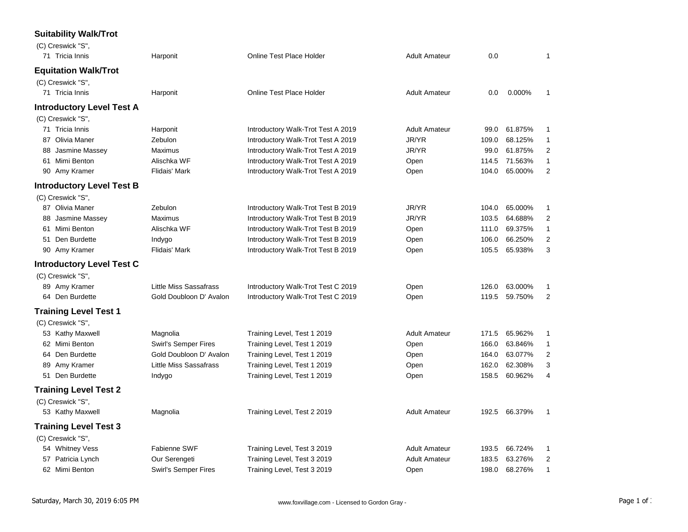## **Suitability Walk/Trot**

| (C) Creswick "S",                |                               |                                    |                      |       |         |                |
|----------------------------------|-------------------------------|------------------------------------|----------------------|-------|---------|----------------|
| 71 Tricia Innis                  | Harponit                      | <b>Online Test Place Holder</b>    | <b>Adult Amateur</b> | 0.0   |         | $\mathbf{1}$   |
| <b>Equitation Walk/Trot</b>      |                               |                                    |                      |       |         |                |
| (C) Creswick "S",                |                               |                                    |                      |       |         |                |
| 71 Tricia Innis                  | Harponit                      | Online Test Place Holder           | <b>Adult Amateur</b> | 0.0   | 0.000%  | 1              |
| <b>Introductory Level Test A</b> |                               |                                    |                      |       |         |                |
| (C) Creswick "S",                |                               |                                    |                      |       |         |                |
| 71 Tricia Innis                  | Harponit                      | Introductory Walk-Trot Test A 2019 | <b>Adult Amateur</b> | 99.0  | 61.875% | 1              |
| 87 Olivia Maner                  | Zebulon                       | Introductory Walk-Trot Test A 2019 | JR/YR                | 109.0 | 68.125% | 1              |
| Jasmine Massey<br>88             | Maximus                       | Introductory Walk-Trot Test A 2019 | JR/YR                | 99.0  | 61.875% | $\overline{c}$ |
| 61 Mimi Benton                   | Alischka WF                   | Introductory Walk-Trot Test A 2019 | Open                 | 114.5 | 71.563% | 1              |
| 90 Amy Kramer                    | <b>Flidais' Mark</b>          | Introductory Walk-Trot Test A 2019 | Open                 | 104.0 | 65.000% | $\mathbf{2}$   |
| <b>Introductory Level Test B</b> |                               |                                    |                      |       |         |                |
| (C) Creswick "S",                |                               |                                    |                      |       |         |                |
| 87 Olivia Maner                  | Zebulon                       | Introductory Walk-Trot Test B 2019 | JR/YR                | 104.0 | 65.000% | 1              |
| 88 Jasmine Massey                | Maximus                       | Introductory Walk-Trot Test B 2019 | JR/YR                | 103.5 | 64.688% | 2              |
| 61 Mimi Benton                   | Alischka WF                   | Introductory Walk-Trot Test B 2019 | Open                 | 111.0 | 69.375% | 1              |
| Den Burdette<br>51               | Indygo                        | Introductory Walk-Trot Test B 2019 | Open                 | 106.0 | 66.250% | $\mathbf{2}$   |
| 90 Amy Kramer                    | Flidais' Mark                 | Introductory Walk-Trot Test B 2019 | Open                 | 105.5 | 65.938% | 3              |
| <b>Introductory Level Test C</b> |                               |                                    |                      |       |         |                |
| (C) Creswick "S",                |                               |                                    |                      |       |         |                |
| 89 Amy Kramer                    | <b>Little Miss Sassafrass</b> | Introductory Walk-Trot Test C 2019 | Open                 | 126.0 | 63.000% | 1              |
| 64 Den Burdette                  | Gold Doubloon D' Avalon       | Introductory Walk-Trot Test C 2019 | Open                 | 119.5 | 59.750% | 2              |
| <b>Training Level Test 1</b>     |                               |                                    |                      |       |         |                |
| (C) Creswick "S",                |                               |                                    |                      |       |         |                |
| 53 Kathy Maxwell                 | Magnolia                      | Training Level, Test 1 2019        | <b>Adult Amateur</b> | 171.5 | 65.962% | 1              |
| 62 Mimi Benton                   | <b>Swirl's Semper Fires</b>   | Training Level, Test 1 2019        | Open                 | 166.0 | 63.846% | 1              |
| 64 Den Burdette                  | Gold Doubloon D' Avalon       | Training Level, Test 1 2019        | Open                 | 164.0 | 63.077% | $\overline{c}$ |
| Amy Kramer<br>89                 | <b>Little Miss Sassafrass</b> | Training Level, Test 1 2019        | Open                 | 162.0 | 62.308% | 3              |
| 51 Den Burdette                  | Indygo                        | Training Level, Test 1 2019        | Open                 | 158.5 | 60.962% | 4              |
| <b>Training Level Test 2</b>     |                               |                                    |                      |       |         |                |
| (C) Creswick "S",                |                               |                                    |                      |       |         |                |
| 53 Kathy Maxwell                 | Magnolia                      | Training Level, Test 2 2019        | <b>Adult Amateur</b> | 192.5 | 66.379% | $\mathbf{1}$   |
| <b>Training Level Test 3</b>     |                               |                                    |                      |       |         |                |
| (C) Creswick "S",                |                               |                                    |                      |       |         |                |
| 54 Whitney Vess                  | Fabienne SWF                  | Training Level, Test 3 2019        | <b>Adult Amateur</b> | 193.5 | 66.724% | 1              |
| 57 Patricia Lynch                | Our Serengeti                 | Training Level, Test 3 2019        | <b>Adult Amateur</b> | 183.5 | 63.276% | $\overline{c}$ |
| 62 Mimi Benton                   | <b>Swirl's Semper Fires</b>   | Training Level, Test 3 2019        | Open                 | 198.0 | 68.276% | 1              |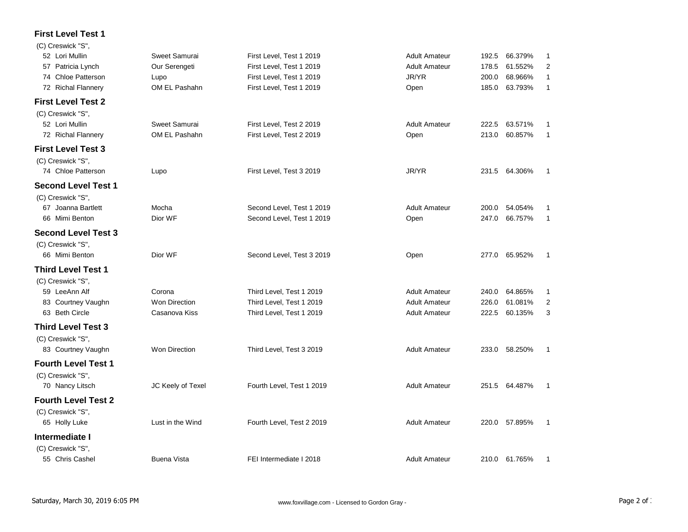## **First Level Test 1**

| (C) Creswick "S",          |                      |                           |                      |       |               |                |
|----------------------------|----------------------|---------------------------|----------------------|-------|---------------|----------------|
| 52 Lori Mullin             | Sweet Samurai        | First Level, Test 1 2019  | <b>Adult Amateur</b> | 192.5 | 66.379%       | 1              |
| 57 Patricia Lynch          | Our Serengeti        | First Level, Test 1 2019  | <b>Adult Amateur</b> | 178.5 | 61.552%       | $\overline{2}$ |
| 74 Chloe Patterson         | Lupo                 | First Level, Test 1 2019  | JR/YR                | 200.0 | 68.966%       | 1              |
| 72 Richal Flannery         | OM EL Pashahn        | First Level, Test 1 2019  | Open                 | 185.0 | 63.793%       | $\mathbf{1}$   |
| <b>First Level Test 2</b>  |                      |                           |                      |       |               |                |
| (C) Creswick "S",          |                      |                           |                      |       |               |                |
| 52 Lori Mullin             | Sweet Samurai        | First Level, Test 2 2019  | <b>Adult Amateur</b> | 222.5 | 63.571%       | 1              |
| 72 Richal Flannery         | OM EL Pashahn        | First Level, Test 2 2019  | Open                 | 213.0 | 60.857%       | 1              |
| <b>First Level Test 3</b>  |                      |                           |                      |       |               |                |
| (C) Creswick "S",          |                      |                           |                      |       |               |                |
| 74 Chloe Patterson         | Lupo                 | First Level, Test 3 2019  | JR/YR                |       | 231.5 64.306% | 1              |
| <b>Second Level Test 1</b> |                      |                           |                      |       |               |                |
| (C) Creswick "S",          |                      |                           |                      |       |               |                |
| 67 Joanna Bartlett         | Mocha                | Second Level, Test 1 2019 | <b>Adult Amateur</b> | 200.0 | 54.054%       | 1              |
| 66 Mimi Benton             | Dior WF              | Second Level, Test 1 2019 | Open                 | 247.0 | 66.757%       | $\mathbf{1}$   |
| <b>Second Level Test 3</b> |                      |                           |                      |       |               |                |
| (C) Creswick "S",          |                      |                           |                      |       |               |                |
| 66 Mimi Benton             | Dior WF              | Second Level, Test 3 2019 | Open                 |       | 277.0 65.952% | 1              |
| <b>Third Level Test 1</b>  |                      |                           |                      |       |               |                |
| (C) Creswick "S",          |                      |                           |                      |       |               |                |
| 59 LeeAnn Alf              | Corona               | Third Level, Test 1 2019  | <b>Adult Amateur</b> | 240.0 | 64.865%       | 1              |
| 83 Courtney Vaughn         | <b>Won Direction</b> | Third Level, Test 1 2019  | <b>Adult Amateur</b> | 226.0 | 61.081%       | 2              |
| 63 Beth Circle             | Casanova Kiss        | Third Level, Test 1 2019  | <b>Adult Amateur</b> | 222.5 | 60.135%       | 3              |
| <b>Third Level Test 3</b>  |                      |                           |                      |       |               |                |
| (C) Creswick "S",          |                      |                           |                      |       |               |                |
| 83 Courtney Vaughn         | <b>Won Direction</b> | Third Level, Test 3 2019  | <b>Adult Amateur</b> | 233.0 | 58.250%       | 1              |
| <b>Fourth Level Test 1</b> |                      |                           |                      |       |               |                |
| (C) Creswick "S".          |                      |                           |                      |       |               |                |
| 70 Nancy Litsch            | JC Keely of Texel    | Fourth Level, Test 1 2019 | <b>Adult Amateur</b> |       | 251.5 64.487% | -1             |
| <b>Fourth Level Test 2</b> |                      |                           |                      |       |               |                |
| (C) Creswick "S",          |                      |                           |                      |       |               |                |
| 65 Holly Luke              | Lust in the Wind     | Fourth Level, Test 2 2019 | <b>Adult Amateur</b> | 220.0 | 57.895%       | 1              |
| Intermediate I             |                      |                           |                      |       |               |                |
| (C) Creswick "S",          |                      |                           |                      |       |               |                |
| 55 Chris Cashel            | <b>Buena Vista</b>   | FEI Intermediate I 2018   | <b>Adult Amateur</b> |       | 210.0 61.765% | 1              |
|                            |                      |                           |                      |       |               |                |